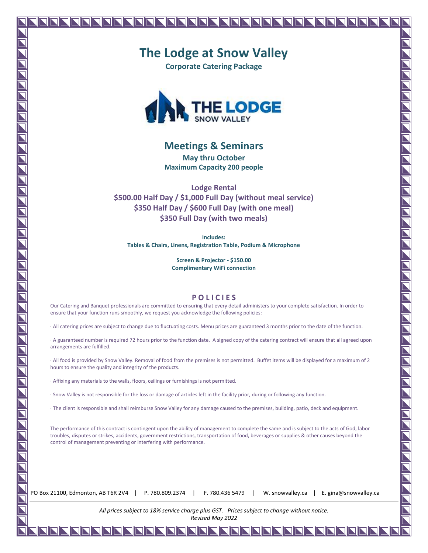# **The Lodge at Snow Valley**

**Corporate Catering Package**



#### **Meetings & Seminars**

**May thru October Maximum Capacity 200 people**

**Lodge Rental \$500.00 Half Day / \$1,000 Full Day (without meal service) \$350 Half Day / \$600 Full Day (with one meal) \$350 Full Day (with two meals)**

**Includes: Tables & Chairs, Linens, Registration Table, Podium & Microphone**

> **Screen & Projector - \$150.00 Complimentary WiFi connection**

#### **P O L I C I E S**

Our Catering and Banquet professionals are committed to ensuring that every detail administers to your complete satisfaction. In order to ensure that your function runs smoothly, we request you acknowledge the following policies:

· All catering prices are subject to change due to fluctuating costs. Menu prices are guaranteed 3 months prior to the date of the function.

· A guaranteed number is required 72 hours prior to the function date. A signed copy of the catering contract will ensure that all agreed upon arrangements are fulfilled.

· All food is provided by Snow Valley. Removal of food from the premises is not permitted. Buffet items will be displayed for a maximum of 2 hours to ensure the quality and integrity of the products.

· Affixing any materials to the walls, floors, ceilings or furnishings is not permitted.

· Snow Valley is not responsible for the loss or damage of articles left in the facility prior, during or following any function.

· The client is responsible and shall reimburse Snow Valley for any damage caused to the premises, building, patio, deck and equipment.

The performance of this contract is contingent upon the ability of management to complete the same and is subject to the acts of God, labor troubles, disputes or strikes, accidents, government restrictions, transportation of food, beverages or supplies & other causes beyond the control of management preventing or interfering with performance.

PO Box 21100, Edmonton, AB T6R 2V4 | P. 780.809.2374 | F. 780.436 5479 | W. snowvalley.ca | E. gina@snowvalley.ca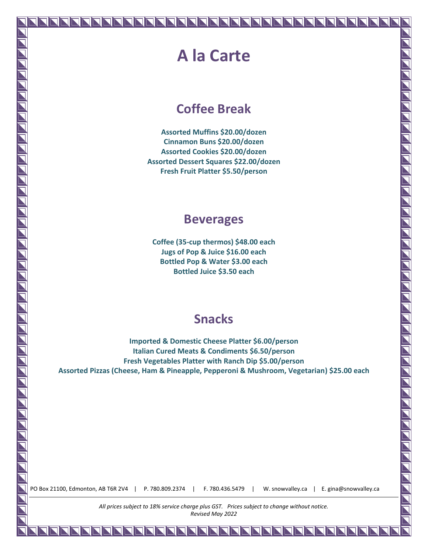### **A la Carte**

### **Coffee Break**

**Assorted Muffins \$20.00/dozen Cinnamon Buns \$20.00/dozen Assorted Cookies \$20.00/dozen Assorted Dessert Squares \$22.00/dozen Fresh Fruit Platter \$5.50/person**

#### **Beverages**

**Coffee (35-cup thermos) \$48.00 each Jugs of Pop & Juice \$16.00 each Bottled Pop & Water \$3.00 each Bottled Juice \$3.50 each**

### **Snacks**

**Imported & Domestic Cheese Platter \$6.00/person Italian Cured Meats & Condiments \$6.50/person Fresh Vegetables Platter with Ranch Dip \$5.00/person Assorted Pizzas (Cheese, Ham & Pineapple, Pepperoni & Mushroom, Vegetarian) \$25.00 each**

PO Box 21100, Edmonton, AB T6R 2V4 | P. 780.809.2374 | F. 780.436.5479 | W. snowvalley.ca | E. gina@snowvalley.ca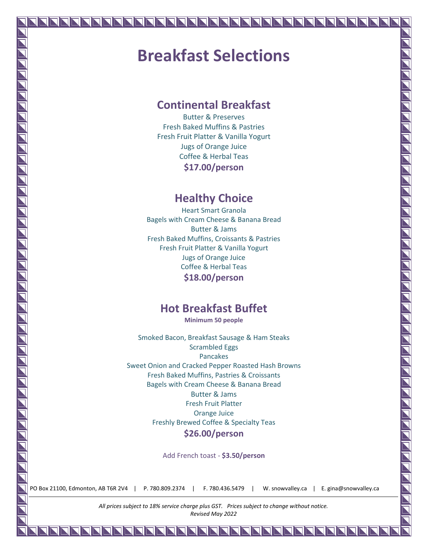## **Breakfast Selections**

#### **Continental Breakfast**

Butter & Preserves Fresh Baked Muffins & Pastries Fresh Fruit Platter & Vanilla Yogurt Jugs of Orange Juice Coffee & Herbal Teas **\$17.00/person**

#### **Healthy Choice**

Heart Smart Granola Bagels with Cream Cheese & Banana Bread Butter & Jams Fresh Baked Muffins, Croissants & Pastries Fresh Fruit Platter & Vanilla Yogurt Jugs of Orange Juice Coffee & Herbal Teas **\$18.00/person**

#### **Hot Breakfast Buffet**

**Minimum 50 people**

Smoked Bacon, Breakfast Sausage & Ham Steaks Scrambled Eggs Pancakes Sweet Onion and Cracked Pepper Roasted Hash Browns Fresh Baked Muffins, Pastries & Croissants Bagels with Cream Cheese & Banana Bread Butter & Jams Fresh Fruit Platter Orange Juice Freshly Brewed Coffee & Specialty Teas **\$26.00/person**

Add French toast - **\$3.50/person**

PO Box 21100, Edmonton, AB T6R 2V4 | P. 780.809.2374 | F. 780.436.5479 | W. snowvalley.ca | E. gina@snowvalley.ca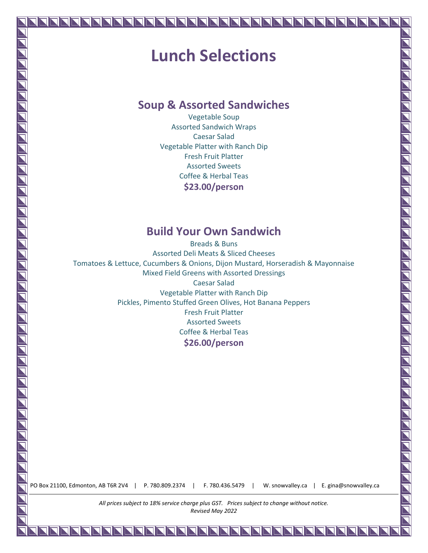## **Lunch Selections**

#### **Soup & Assorted Sandwiches**

Vegetable Soup Assorted Sandwich Wraps Caesar Salad Vegetable Platter with Ranch Dip Fresh Fruit Platter Assorted Sweets Coffee & Herbal Teas **\$23.00/person**

#### **Build Your Own Sandwich**

Breads & Buns Assorted Deli Meats & Sliced Cheeses Tomatoes & Lettuce, Cucumbers & Onions, Dijon Mustard, Horseradish & Mayonnaise Mixed Field Greens with Assorted Dressings Caesar Salad Vegetable Platter with Ranch Dip Pickles, Pimento Stuffed Green Olives, Hot Banana Peppers Fresh Fruit Platter Assorted Sweets Coffee & Herbal Teas **\$26.00/person**

PO Box 21100, Edmonton, AB T6R 2V4 | P. 780.809.2374 | F. 780.436.5479 | W. snowvalley.ca | E. gina@snowvalley.ca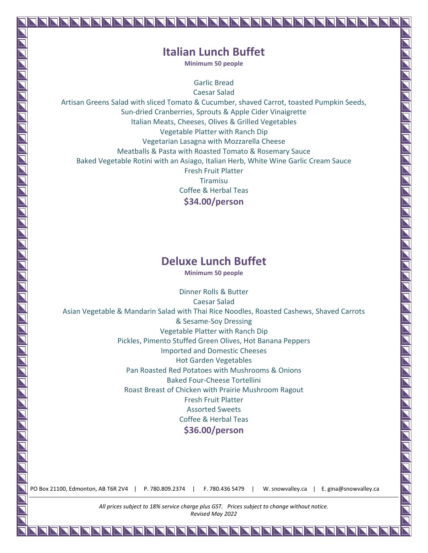#### **Italian Lunch Buffet**

**Minimum 50 people**

Garlic Bread

Caesar Salad Artisan Greens Salad with sliced Tomato & Cucumber, shaved Carrot, toasted Pumpkin Seeds, Sun-dried Cranberries, Sprouts & Apple Cider Vinaigrette Italian Meats, Cheeses, Olives & Grilled Vegetables Vegetable Platter with Ranch Dip Vegetarian Lasagna with Mozzarella Cheese Meatballs & Pasta with Roasted Tomato & Rosemary Sauce Baked Vegetable Rotini with an Asiago, Italian Herb, White Wine Garlic Cream Sauce Fresh Fruit Platter Tiramisu Coffee & Herbal Teas **\$34.00/person**

#### **Deluxe Lunch Buffet**

**Minimum 50 people**

Dinner Rolls & Butter Caesar Salad Asian Vegetable & Mandarin Salad with Thai Rice Noodles, Roasted Cashews, Shaved Carrots & Sesame-Soy Dressing Vegetable Platter with Ranch Dip Pickles, Pimento Stuffed Green Olives, Hot Banana Peppers Imported and Domestic Cheeses Hot Garden Vegetables Pan Roasted Red Potatoes with Mushrooms & Onions Baked Four-Cheese Tortellini Roast Breast of Chicken with Prairie Mushroom Ragout Fresh Fruit Platter Assorted Sweets Coffee & Herbal Teas **\$36.00/person**

PO Box 21100, Edmonton, AB T6R 2V4 | P. 780.809.2374 | F. 780.436 5479 | W. snowvalley.ca | E. gina@snowvalley.ca

10 T